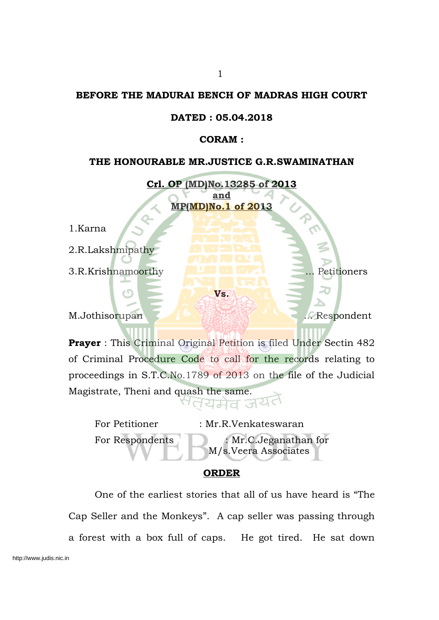#### **BEFORE THE MADURAI BENCH OF MADRAS HIGH COURT**

#### **DATED : 05.04.2018**

#### **CORAM :**

#### **THE HONOURABLE MR.JUSTICE G.R.SWAMINATHAN**

**Crl. OP (MD)No.13285 of 2013 and MP(MD)No.1 of 2013**

1.Karna

2.R.Lakshmipathy

3.R.Krishnamoorthy ... Petitioners

M.Jothisorupan ... Respondent

**Prayer** : This Criminal Original Petition is filed Under Sectin 482 of Criminal Procedure Code to call for the records relating to proceedings in S.T.C.No.1789 of 2013 on the file of the Judicial Magistrate, Theni and quash the same. तयमेव जय

**Vs.**

For Petitioner : Mr.R.Venkateswaran For Respondents : Mr.C.Jeganathan for M/s.Veera Associates

#### **ORDER**

One of the earliest stories that all of us have heard is "The Cap Seller and the Monkeys". A cap seller was passing through a forest with a box full of caps. He got tired. He sat down http://www.judis.nic.in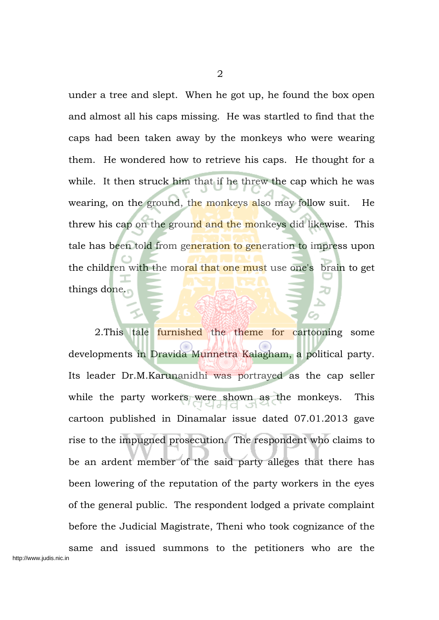under a tree and slept. When he got up, he found the box open and almost all his caps missing. He was startled to find that the caps had been taken away by the monkeys who were wearing them. He wondered how to retrieve his caps. He thought for a while. It then struck him that if he threw the cap which he was wearing, on the ground, the monkeys also may follow suit. He threw his cap on the ground and the monkeys did likewise. This tale has been told from generation to generation to impress upon the children with the moral that one must use one's brain to get things done.

2. This tale furnished the theme for cartooning some developments in Dravida Munnetra Kalagham, a political party. Its leader Dr.M.Karunanidhi was portrayed as the cap seller while the party workers were shown as the monkeys. This cartoon published in Dinamalar issue dated 07.01.2013 gave rise to the impugned prosecution. The respondent who claims to be an ardent member of the said party alleges that there has been lowering of the reputation of the party workers in the eyes of the general public. The respondent lodged a private complaint before the Judicial Magistrate, Theni who took cognizance of the same and issued summons to the petitioners who are the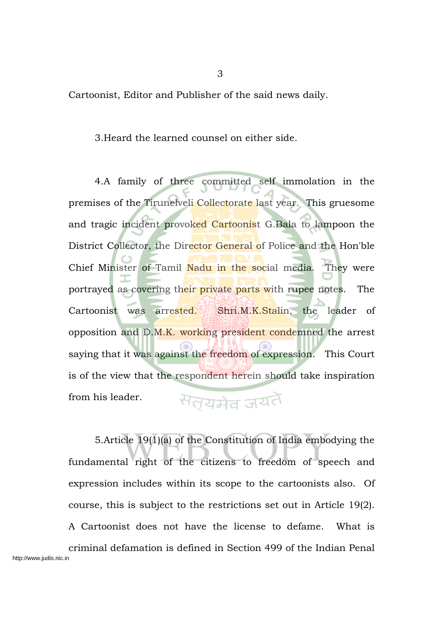Cartoonist, Editor and Publisher of the said news daily.

3.Heard the learned counsel on either side.

4.A family of three committed self immolation in the premises of the Tirunelveli Collectorate last year. This gruesome and tragic incident provoked Cartoonist G.Bala to lampoon the District Collector, the Director General of Police and the Hon'ble Chief Minister of Tamil Nadu in the social media. They were portrayed as covering their private parts with rupee notes. The Cartoonist was arrested. Shri.M.K.Stalin, the leader of opposition and D.M.K. working president condemned the arrest saying that it was against the freedom of expression. This Court is of the view that the respondent herein should take inspiration सतयमेव जयतै from his leader.

5.Article 19(1)(a) of the Constitution of India embodying the fundamental right of the citizens to freedom of speech and expression includes within its scope to the cartoonists also. Of course, this is subject to the restrictions set out in Article 19(2). A Cartoonist does not have the license to defame. What is criminal defamation is defined in Section 499 of the Indian Penal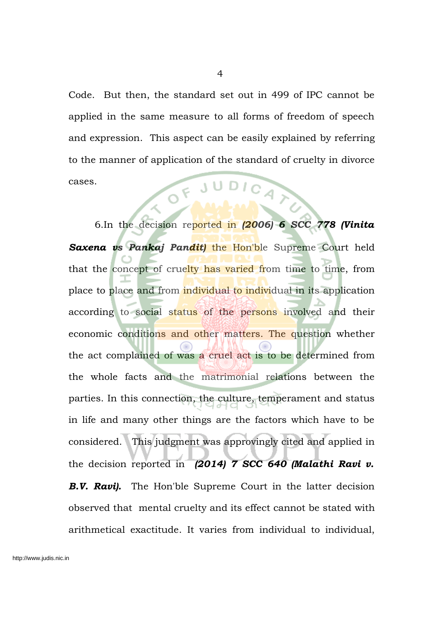Code. But then, the standard set out in 499 of IPC cannot be applied in the same measure to all forms of freedom of speech and expression. This aspect can be easily explained by referring to the manner of application of the standard of cruelty in divorce cases. LOF JUDICAT

6.In the decision reported in *(2006) 6 SCC 778 (Vinita Saxena vs Pankaj Pandit)* the Hon'ble Supreme Court held that the concept of cruelty has varied from time to time, from place to place and from individual to individual in its application according to social status of the persons involved and their economic conditions and other matters. The question whether the act complained of was a cruel act is to be determined from the whole facts and the matrimonial relations between the parties. In this connection, the culture, temperament and status in life and many other things are the factors which have to be considered. This judgment was approvingly cited and applied in the decision reported in *(2014) 7 SCC 640 (Malathi Ravi v.* **B.V. Ravi).** The Hon'ble Supreme Court in the latter decision observed that mental cruelty and its effect cannot be stated with arithmetical exactitude. It varies from individual to individual,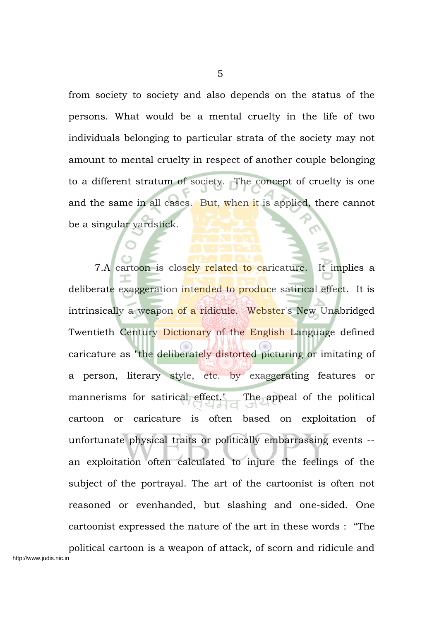from society to society and also depends on the status of the persons. What would be a mental cruelty in the life of two individuals belonging to particular strata of the society may not amount to mental cruelty in respect of another couple belonging to a different stratum of society. The concept of cruelty is one and the same in all cases. But, when it is applied, there cannot be a singular yardstick.

7.A cartoon is closely related to caricature. It implies a deliberate exaggeration intended to produce satirical effect. It is intrinsically a weapon of a ridicule. Webster's New Unabridged Twentieth Century Dictionary of the English Language defined caricature as "the deliberately distorted picturing or imitating of a person, literary style, etc. by exaggerating features or mannerisms for satirical effect." The appeal of the political cartoon or caricature is often based on exploitation of unfortunate physical traits or politically embarrassing events - an exploitation often calculated to injure the feelings of the subject of the portrayal. The art of the cartoonist is often not reasoned or evenhanded, but slashing and one-sided. One cartoonist expressed the nature of the art in these words : "The political cartoon is a weapon of attack, of scorn and ridicule and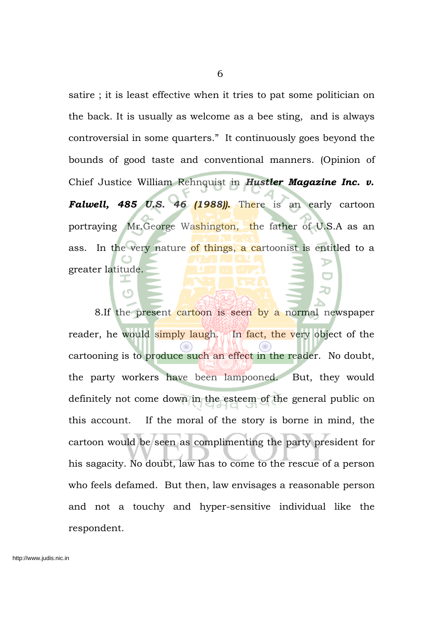satire ; it is least effective when it tries to pat some politician on the back. It is usually as welcome as a bee sting, and is always controversial in some quarters." It continuously goes beyond the bounds of good taste and conventional manners. (Opinion of Chief Justice William Rehnquist in *Hustler Magazine Inc. v. Falwell, 485 U.S. 46 (1988)).* There is an early cartoon portraying Mr.George Washington, the father of U.S.A as an ass. In the very nature of things, a cartoonist is entitled to a greater latitude.

8.If the present cartoon is seen by a normal newspaper reader, he would simply laugh. In fact, the very object of the cartooning is to produce such an effect in the reader. No doubt, the party workers have been lampooned. But, they would definitely not come down in the esteem of the general public on this account. If the moral of the story is borne in mind, the cartoon would be seen as complimenting the party president for his sagacity. No doubt, law has to come to the rescue of a person who feels defamed. But then, law envisages a reasonable person and not a touchy and hyper-sensitive individual like the respondent.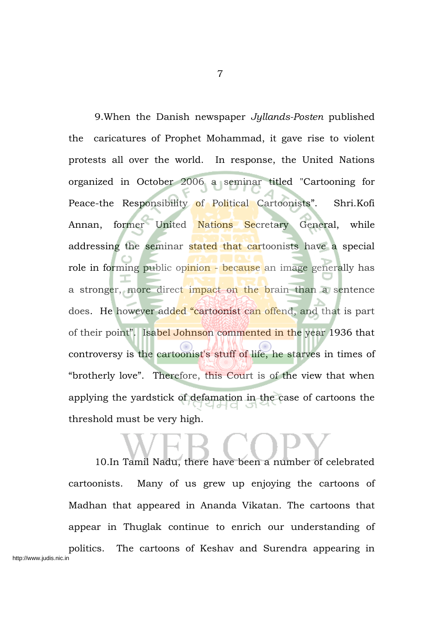9.When the Danish newspaper *Jyllands-Posten* published the caricatures of Prophet Mohammad, it gave rise to violent protests all over the world. In response, the United Nations organized in October 2006 a seminar titled "Cartooning for Peace-the Responsibility of Political Cartoonists". Shri.Kofi Annan, former United Nations Secretary General, while addressing the seminar stated that cartoonists have a special role in forming public opinion - because an image generally has a stronger, more direct impact on the brain than a sentence does. He however added "cartoonist can offend, and that is part of their point". Isabel Johnson commented in the year 1936 that controversy is the cartoonist's stuff of life, he starves in times of "brotherly love". Therefore, this Court is of the view that when applying the yardstick of defamation in the case of cartoons the threshold must be very high.

10.In Tamil Nadu, there have been a number of celebrated cartoonists. Many of us grew up enjoying the cartoons of Madhan that appeared in Ananda Vikatan. The cartoons that appear in Thuglak continue to enrich our understanding of politics. The cartoons of Keshav and Surendra appearing in http://www.judis.nic.in

7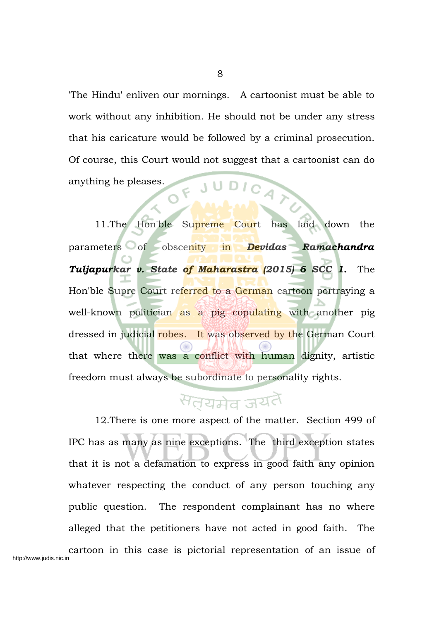'The Hindu' enliven our mornings. A cartoonist must be able to work without any inhibition. He should not be under any stress that his caricature would be followed by a criminal prosecution. Of course, this Court would not suggest that a cartoonist can do OF JUDICAT anything he pleases.

8

11.The Hon'ble Supreme Court has laid down the parameters of obscenity in *Devidas Ramachandra Tuljapurkar v. State of Maharastra (2015) 6 SCC 1.* The Hon'ble Supre Court referred to a German cartoon portraying a well-known politician as a pig copulating with another pig dressed in judicial robes. It was observed by the German Court that where there was a conflict with human dignity, artistic freedom must always be subordinate to personality rights.

### सतयमेव जयतै

12.There is one more aspect of the matter. Section 499 of IPC has as many as nine exceptions. The third exception states that it is not a defamation to express in good faith any opinion whatever respecting the conduct of any person touching any public question. The respondent complainant has no where alleged that the petitioners have not acted in good faith. The cartoon in this case is pictorial representation of an issue of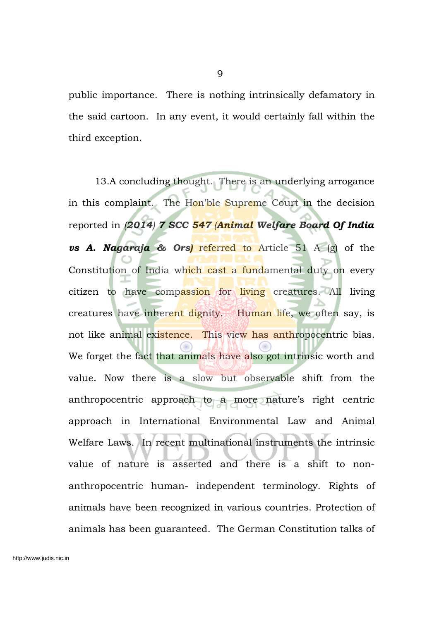public importance. There is nothing intrinsically defamatory in the said cartoon. In any event, it would certainly fall within the third exception.

13.A concluding thought. There is an underlying arrogance in this complaint. The Hon'ble Supreme Court in the decision reported in *(2014) 7 SCC 547 (Animal Welfare Board Of India vs A. Nagaraja & Ors)* referred to Article 51 A (g) of the Constitution of India which cast a fundamental duty on every citizen to have compassion for living creatures. All living creatures have inherent dignity. Human life, we often say, is not like animal existence. This view has anthropocentric bias. We forget the fact that animals have also got intrinsic worth and value. Now there is a slow but observable shift from the anthropocentric approach to a more nature's right centric approach in International Environmental Law and Animal Welfare Laws. In recent multinational instruments the intrinsic value of nature is asserted and there is a shift to nonanthropocentric human- independent terminology. Rights of animals have been recognized in various countries. Protection of animals has been guaranteed. The German Constitution talks of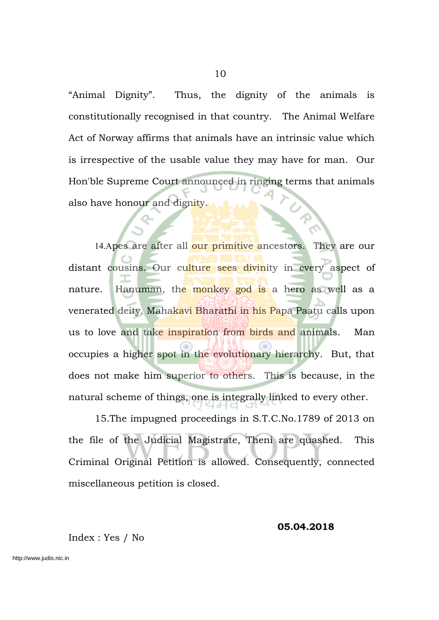"Animal Dignity". Thus, the dignity of the animals is constitutionally recognised in that country. The Animal Welfare Act of Norway affirms that animals have an intrinsic value which is irrespective of the usable value they may have for man. Our Hon'ble Supreme Court announced in ringing terms that animals also have honour and dignity.

14.Apes are after all our primitive ancestors. They are our distant cousins. Our culture sees divinity in every aspect of nature. Hanuman, the monkey god is a hero as well as a venerated deity. Mahakavi Bharathi in his Papa Paatu calls upon us to love and take inspiration from birds and animals. Man occupies a higher spot in the evolutionary hierarchy. But, that does not make him superior to others. This is because, in the natural scheme of things, one is integrally linked to every other.

15.The impugned proceedings in S.T.C.No.1789 of 2013 on the file of the Judicial Magistrate, Theni are quashed. This Criminal Original Petition is allowed. Consequently, connected miscellaneous petition is closed.

#### **05.04.2018**

Index : Yes / No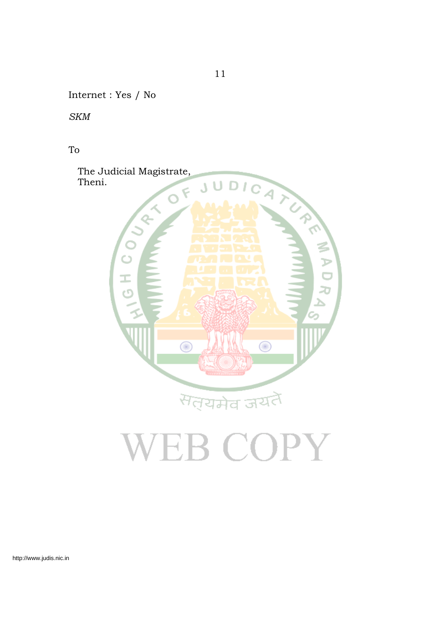Internet : Yes / No

*SKM*

To



# VEB COPY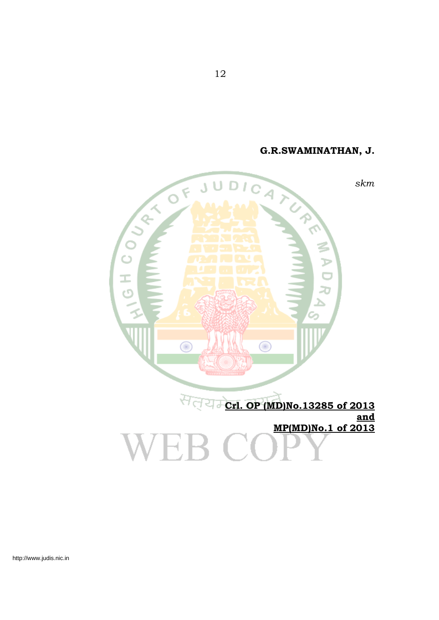